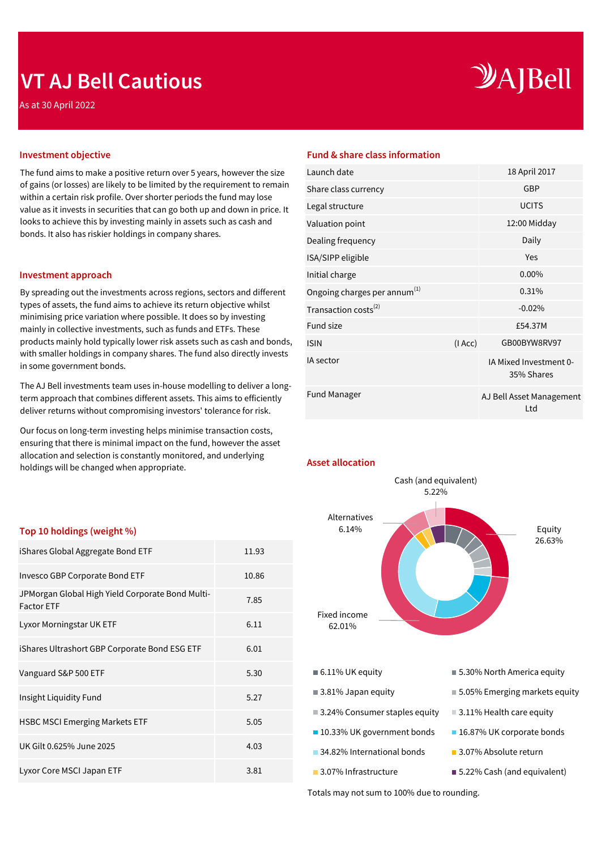## **VT AJ Bell Cautious**

As at 30 April 2022

# $\mathcal{Y}$ A]Bell

The fund aims to make a positive return over 5 years, however the size of gains (or losses) are likely to be limited by the requirement to remain within a certain risk profile. Over shorter periods the fund may lose value as it invests in securities that can go both up and down in price. It looks to achieve this by investing mainly in assets such as cash and bonds. It also has riskier holdings in company shares.

#### **Investment approach**

By spreading out the investments across regions, sectors and different types of assets, the fund aims to achieve its return objective whilst minimising price variation where possible. It does so by investing mainly in collective investments, such as funds and ETFs. These products mainly hold typically lower risk assets such as cash and bonds, with smaller holdings in company shares. The fund also directly invests in some government bonds.

The AJ Bell investments team uses in-house modelling to deliver a longterm approach that combines different assets. This aims to efficiently deliver returns without compromising investors' tolerance for risk.

Our focus on long-term investing helps minimise transaction costs, ensuring that there is minimal impact on the fund, however the asset allocation and selection is constantly monitored, and underlying holdings will be changed when appropriate.

#### **Top 10 holdings (weight %)**

| iShares Global Aggregate Bond ETF                                     | 11.93 |
|-----------------------------------------------------------------------|-------|
| Invesco GBP Corporate Bond ETF                                        | 10.86 |
| JPMorgan Global High Yield Corporate Bond Multi-<br><b>Factor ETF</b> | 7.85  |
| Lyxor Morningstar UK ETF                                              | 6.11  |
| iShares Ultrashort GBP Corporate Bond ESG ETF                         | 6.01  |
| Vanguard S&P 500 ETF                                                  | 5.30  |
| Insight Liquidity Fund                                                | 5.27  |
| <b>HSBC MSCI Emerging Markets ETF</b>                                 | 5.05  |
| UK Gilt 0.625% June 2025                                              | 4.03  |
| Lyxor Core MSCI Japan ETF                                             | 3.81  |

### **Investment objective Fund & share class information**

| Launch date                              |        | 18 April 2017                        |
|------------------------------------------|--------|--------------------------------------|
| Share class currency                     |        | <b>GBP</b>                           |
| Legal structure                          |        | <b>UCITS</b>                         |
| Valuation point                          |        | 12:00 Midday                         |
| Dealing frequency                        |        | Daily                                |
| ISA/SIPP eligible                        |        | Yes                                  |
| Initial charge                           |        | 0.00%                                |
| Ongoing charges per annum <sup>(1)</sup> |        | 0.31%                                |
| Transaction costs <sup>(2)</sup>         |        | $-0.02%$                             |
| <b>Fund size</b>                         |        | £54.37M                              |
| <b>ISIN</b>                              | (IAcc) | GB00BYW8RV97                         |
| IA sector                                |        | IA Mixed Investment 0-<br>35% Shares |
| <b>Fund Manager</b>                      |        | AJ Bell Asset Management<br>Ltd      |
|                                          |        |                                      |

**Asset allocation**



Totals may not sum to 100% due to rounding.